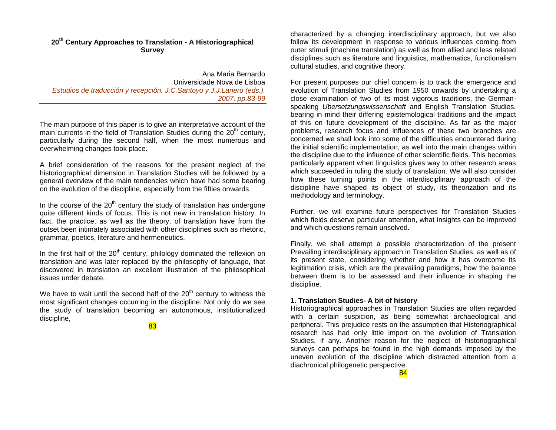# **<sup>20</sup>th Century Approaches to Translation - A Historiographical Survey**

Ana Maria Bernardo Universidade Nova de Lisboa *Estudios de traducción y recepción. J.C.Santoyo y J.J.Lanero (eds.). 2007, pp.83-99* 

The main purpose of this paper is to give an interpretative account of the main currents in the field of Translation Studies during the  $20<sup>th</sup>$  century, particularly during the second half, when the most numerous and overwhelming changes took place.

A brief consideration of the reasons for the present neglect of the historiographical dimension in Translation Studies will be followed by a general overview of the main tendencies which have had some bearing on the evolution of the discipline, especially from the fifties onwards

In the course of the  $20<sup>th</sup>$  century the study of translation has undergone quite different kinds of focus. This is not new in translation history. In fact, the practice, as well as the theory, of translation have from the outset been intimately associated with other disciplines such as rhetoric, grammar, poetics, literature and hermeneutics.

In the first half of the  $20<sup>th</sup>$  century, philology dominated the reflexion on translation and was later replaced by the philosophy of language, that discovered in translation an excellent illustration of the philosophical issues under debate.

We have to wait until the second half of the  $20<sup>th</sup>$  century to witness the most significant changes occurring in the discipline. Not only do we see the study of translation becoming an autonomous, institutionalized discipline,

83

characterized by a changing interdisciplinary approach, but we also follow its development in response to various influences coming from outer stimuli (machine translation) as well as from allied and less related disciplines such as literature and linguistics, mathematics, functionalism cultural studies, and cognitive theory.

For present purposes our chief concern is to track the emergence and evolution of Translation Studies from 1950 onwards by undertaking a close examination of two of its most vigorous traditions, the Germanspeaking *Ubersetzungswlssenschaft* and English Translation Studies, bearing in mind their differing epistemological traditions and the impact of this on future development of the discipline. As far as the major problems, research focus and influences of these two branches are concerned we shall look into some of the difficulties encountered during the initial scientific implementation, as well into the main changes within the discipline due to the influence of other scientific fields. This becomes particularly apparent when linguistics gives way to other research areas which succeeded in ruling the study of translation. We will also consider how these turning points in the interdisciplinary approach of the discipline have shaped its object of study, its theorization and its methodology and terminology.

Further, we will examine future perspectives for Translation Studies which fields deserve particular attention, what insights can be improved and which questions remain unsolved.

Finally, we shall attempt a possible characterization of the present Prevailing interdisciplinary approach in Translation Studies, as well as of its present state, considering whether and how it has overcome its legitimation crisis, which are the prevailing paradigms, how the balance between them is to be assessed and their influence in shaping the discipline.

## **1. Translation Studies- A bit of history**

Historiographical approaches in Translation Studies are often regarded with a certain suspicion, as being somewhat archaeological and peripheral. This prejudice rests on the assumption that Historiographical research has had only little import on the evolution of Translation Studies, if any. Another reason for the neglect of historiographical surveys can perhaps be found in the high demands imposed by the uneven evolution of the discipline which distracted attention from a diachronical philogenetic perspective.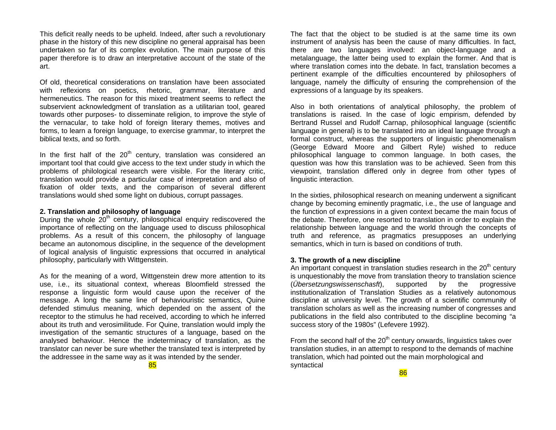This deficit really needs to be upheld. Indeed, after such a revolutionary phase in the history of this new discipline no general appraisal has been undertaken so far of its complex evolution. The main purpose of this paper therefore is to draw an interpretative account of the state of the art.

Of old, theoretical considerations on translation have been associated with reflexions on poetics, rhetoric, grammar, literature and hermeneutics. The reason for this mixed treatment seems to reflect the subservient acknowledgment of translation as a utilitarian tool, geared towards other purposes- to disseminate religion, to improve the style of the vernacular, to take hold of foreign literary themes, motives and forms, to learn a foreign language, to exercise grammar, to interpret the biblical texts, and so forth.

In the first half of the  $20<sup>th</sup>$  century, translation was considered an important tool that could give access to the text under study in which the problems of philological research were visible. For the literary critic, translation would provide a particular case of interpretation and also of fixation of older texts, and the comparison of several different translations would shed some light on dubious, corrupt passages.

### **2. Translation and philosophy of language**

During the whole  $20<sup>th</sup>$  century, philosophical enquiry rediscovered the importance of reflecting on the language used to discuss philosophical problems. As a result of this concern, the philosophy of language became an autonomous discipline, in the sequence of the development of logical analysis of linguistic expressions that occurred in analytical philosophy, particularly with Wittgenstein.

As for the meaning of a word, Wittgenstein drew more attention to its use, i.e., its situational context, whereas Bloomfield stressed the response a linguistic form would cause upon the receiver of the message. A long the same line of behaviouristic semantics, Quine defended stimulus meaning, which depended on the assent of the receptor to the stimulus he had received, according to which he inferred about its truth and verosimilitude. For Quine, translation would imply the investigation of the semantic structures of a language, based on the analysed behaviour. Hence the indeterminacy of translation, as the translator can never be sure whether the translated text is interpreted by the addressee in the same way as it was intended by the sender.

The fact that the object to be studied is at the same time its own instrument of analysis has been the cause of many difficulties. In fact, there are two languages involved: an object-language and a metalanguage, the latter being used to explain the former. And that is where translation comes into the debate. In fact, translation becomes a pertinent example of the difficulties encountered by philosophers of language, namely the difficulty of ensuring the comprehension of the expressions of a language by its speakers.

Also in both orientations of analytical philosophy, the problem of translations is raised. In the case of logic empirism, defended by Bertrand Russel and Rudolf Carnap, philosophical language (scientific language in general) is to be translated into an ideal language through a formal construct, whereas the supporters of linguistic phenomenalism (George Edward Moore and Gilbert Ryle) wished to reduce philosophical language to common language. In both cases, the question was how this translation was to be achieved. Seen from this viewpoint, translation differed only in degree from other types of linguistic interaction.

In the sixties, philosophical research on meaning underwent a significant change by becoming eminently pragmatic, i.e., the use of language and the function of expressions in a given context became the main focus of the debate. Therefore, one resorted to translation in order to explain the relationship between language and the world through the concepts of truth and reference, as pragmatics presupposes an underlying semantics, which in turn is based on conditions of truth.

## **3. The growth of a new discipline**

An important conquest in translation studies research in the  $20<sup>th</sup>$  century is unquestionably the move from translation theory to translation science (*Übersetzungswissenschasft*), supported by the progressive institutionalization of Translation Studies as a relatively autonomous discipline at university level. The growth of a scientific community of translation scholars as well as the increasing number of congresses and publications in the field also contributed to the discipline becoming "a success story of the 1980s" (Lefevere 1992).

From the second half of the  $20<sup>th</sup>$  century onwards, linguistics takes over translation studies, in an attempt to respond to the demands of machine translation, which had pointed out the main morphological and syntactical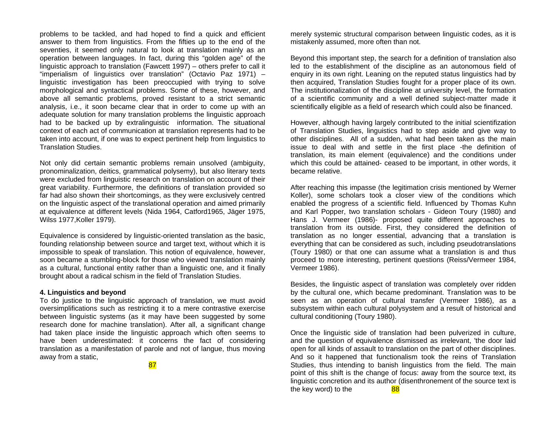problems to be tackled, and had hoped to find a quick and efficient answer to them from linguistics. From the fifties up to the end of the seventies, it seemed only natural to look at translation mainly as an operation between languages. In fact, during this "golden age" of the linguistic approach to translation (Fawcett 1997) – others prefer to call it "imperialism of linguistics over translation" (Octavio Paz 1971) – linguistic investigation has been preoccupied with trying to solve morphological and syntactical problems. Some of these, however, and above all semantic problems, proved resistant to a strict semantic analysis, i.e., it soon became clear that in order to come up with an adequate solution for many translation problems the linguistic approach had to be backed up by extralinguistic information. The situational context of each act of communication at translation represents had to be taken into account, if one was to expect pertinent help from linguistics to Translation Studies.

Not only did certain semantic problems remain unsolved (ambiguity, pronominalization, deitics, grammatical polysemy), but also literary texts were excluded from linguistic research on translation on account of their great variability. Furthermore, the definitions of translation provided so far had also shown their shortcomings, as they were exclusively centred on the linguistic aspect of the translational operation and aimed primarily at equivalence at different levels (Nida 1964, Catford1965, Jäger 1975, Wilss 1977,Koller 1979).

Equivalence is considered by linguistic-oriented translation as the basic, founding relationship between source and target text, without which it is impossible to speak of translation. This notion of equivalence, however, soon became a stumbling-block for those who viewed translation mainly as a cultural, functional entity rather than a linguistic one, and it finally brought about a radical schism in the field of Translation Studies.

### **4. Linguistics and beyond**

To do justice to the linguistic approach of translation, we must avoid oversimplifications such as restricting it to a mere contrastive exercise between linguistic systems (as it may have been suggested by some research done for machine translation). After all, a significant change had taken place inside the linguistic approach which often seems to have been underestimated: it concerns the fact of considering translation as a manifestation of parole and not of langue, thus moving away from a static,

87

merely systemic structural comparison between linguistic codes, as it is mistakenly assumed, more often than not.

Beyond this important step, the search for a definition of translation also led to the establishment of the discipline as an autonomous field of enquiry in its own right. Leaning on the reputed status linguistics had by then acquired, Translation Studies fought for a proper place of its own. The institutionalization of the discipline at university level, the formation of a scientific community and a well defined subject-matter made it scientifically eligible as a field of research which could also be financed.

However, although having largely contributed to the initial scientifization of Translation Studies, linguistics had to step aside and give way to other disciplines. All of a sudden, what had been taken as the main issue to deal with and settle in the first place -the definition of translation, its main element (equivalence) and the conditions under which this could be attained- ceased to be important, in other words, it became relative.

After reaching this impasse (the legitimation crisis mentioned by Werner Koller), some scholars took a closer view of the conditions which enabled the progress of a scientific field. Influenced by Thomas Kuhn and Karl Popper, two translation scholars - Gideon Toury (1980) and Hans J. Vermeer (1986)- proposed quite different approaches to translation from its outside. First, they considered the definition of translation as no longer essential, advancing that a translation is everything that can be considered as such, including pseudotranslations (Toury 1980) or that one can assume what a translation is and thus proceed to more interesting, pertinent questions (Reiss/Vermeer 1984, Vermeer 1986).

Besides, the linguistic aspect of translation was completely over ridden by the cultural one, which became predominant. Translation was to be seen as an operation of cultural transfer (Vermeer 1986), as a subsystem within each cultural polysystem and a result of historical and cultural conditioning (Toury 1980).

Once the linguistic side of translation had been pulverized in culture, and the question of equivalence dismissed as irrelevant, 'the door laid open for all kinds of assault to translation on the part of other disciplines. And so it happened that functionalism took the reins of Translation Studies, thus intending to banish linguistics from the field. The main point of this shift is the change of focus: away from the source text, its linguistic concretion and its author (disenthronement of the source text is the key word) to the  $\frac{88}{8}$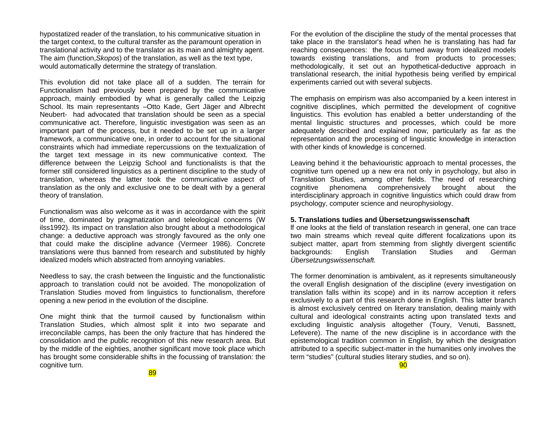hypostatized reader of the translation, to his communicative situation in the target context, to the cultural transfer as the paramount operation in translational activity and to the translator as its main and almighty agent. The aim (function,*Skopos*) of the translation, as well as the text type, would automatically determine the strategy of translation.

This evolution did not take place all of a sudden. The terrain for Functionalism had previously been prepared by the communicative approach, mainly embodied by what is generally called the Leipzig School. lts main representants –Otto Kade, Gert Jäger and Albrecht Neubert- had advocated that translation should be seen as a special communicative act. Therefore, linguistic investigation was seen as an important part of the process, but it needed to be set up in a larger framework, a communicative one, in order to account for the situational constraints which had immediate repercussions on the textualization of the target text message in its new communicative context. The difference between the Leipzig School and functionalists is that the former still considered linguistics as a pertinent discipline to the study of translation, whereas the latter took the communicative aspect of translation as the only and exclusive one to be dealt with by a general theory of translation.

Functionalism was also welcome as it was in accordance with the spirit of time, dominated by pragmatization and teleological concerns (W ilss1992). Its impact on translation also brought about a methodological change: a deductive approach was strongly favoured as the only one that could make the discipline advance (Vermeer 1986). Concrete translations were thus banned from research and substituted by highly idealized models which abstracted from annoying variables.

Needless to say, the crash between the linguistic and the functionalistic approach to translation could not be avoided. The monopolization of Translation Studies moved from linguistics to functionalism, therefore opening a new period in the evolution of the discipline.

One might think that the turmoil caused by functionalism within Translation Studies, which almost split it into two separate and irreconcilable camps, has been the only fracture that has hindered the consolidation and the public recognition of this new research area. But by the middle of the eighties, another significant move took place which has brought some considerable shifts in the focussing of translation: the cognitive turn.

For the evolution of the discipline the study of the mental processes that take place in the translator's head when he is translating has had far reaching consequences: the focus turned away from idealized models towards existing translations, and from products to processes; methodologically, it set out an hypothetical-deductive approach in translational research, the initial hypothesis being verified by empirical experiments carried out with several subjects.

The emphasis on empirism was also accompanied by a keen interest in cognitive disciplines, which permitted the development of cognitive linguistics. This evolution has enabled a better understanding of the mental linguistic structures and processes, which could be more adequately described and explained now, particularly as far as the representation and the processing of linguistic knowledge in interaction with other kinds of knowledge is concerned.

Leaving behind it the behaviouristic approach to mental processes, the cognitive turn opened up a new era not only in psychology, but also in Translation Studies, among other fields. The need of researching cognitive phenomena comprehensively brought about the interdisciplinary approach in cognitive linguistics which could draw from psychology, computer science and neurophysiology.

## **5. Translations tudies and Übersetzungswissenschaft**

lf one looks at the field of translation research in general, one can trace two main streams which reveal quite different focalizations upon its subject matter, apart from stemming from slightly divergent scientific backgrounds: English Translation Studies and German *Übersetzungswissenschaft.*

The former denomination is ambivalent, as it represents simultaneously the overall English designation of the discipline (every investigation on translation falls within its scope) and in its narrow acception it refers exclusively to a part of this research done in English. This latter branch is almost exclusively centred on literary translation, dealing mainly with cultural and ideological constraints acting upon translated texts and excluding linguistic analysis altogether (Toury, Venuti, Bassnett, Lefevere). The name of the new discipline is in accordance with the epistemological tradition common in English, by which the designation attributed to a specific subject-matter in the humanities only involves the term "studies" (cultural studies literary studies, and so on).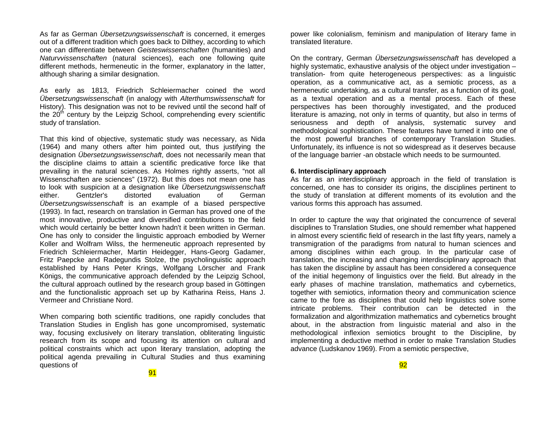As far as German *Übersetzungswissenschaft* is concerned, it emerges out of a different tradition which goes back to Dilthey, according to which one can differentiate between *Geisteswissenschaften* (humanities) and *Naturvvissenschaften* (natural sciences), each one following quite different methods, hermeneutic in the former, explanatory in the latter, although sharing a similar designation.

As early as 1813, Friedrich Schleiermacher coined the word *Übersetzungswissenschaft* (in analogy with *Alterthumswissenschaft* for History). This designation was not to be revived until the second half of the  $20<sup>th</sup>$  century by the Leipzig School, comprehending every scientific study of translation.

That this kind of objective, systematic study was necessary, as Nida (1964) and many others after him pointed out, thus justifying the designation *Übersetzungswissenschaft*, does not necessarily mean that the discipline claims to attain a scientific predicative force like that prevailing in the natural sciences. As Holmes rightly asserts, "not all Wissenschaften are sciences" (1972). But this does not mean one has to look with suspicion at a designation like *Übersetzungswissenschaft* either. Gentzler's distorted evaluation of German *Übersetzungswissenschaft* is an example of a biased perspective (1993). In fact, research on translation in German has proved one of the most innovative, productive and diversified contributions to the field which would certainly be better known hadn't it been written in German. One has only to consider the linguistic approach embodied by Werner Koller and Wolfram Wilss, the hermeneutic approach represented by Friedrich Schleiermacher, Martin Heidegger, Hans-Georg Gadamer, Fritz Paepcke and Radegundis Stolze, the psycholinguistic approach established by Hans Peter Krings, Wolfgang Lörscher and Frank Königs, the communicative approach defended by the Leipzig School, the cultural approach outlined by the research group based in Göttingen and the functionalistic approach set up by Katharina Reiss, Hans J. Vermeer and Christiane Nord.

When comparing both scientific traditions, one rapidly concludes that Translation Studies in English has gone uncompromised, systematic way, focusing exclusively on literary translation, obliterating linguistic research from its scope and focusing its attention on cultural and political constraints which act upon literary translation, adopting the political agenda prevailing in Cultural Studies and thus examining questions of

power like colonialism, feminism and manipulation of literary fame in translated literature.

On the contrary, German *Übersetzungswissenschaft* has developed a highly systematic, exhaustive analysis of the object under investigation – translation- from quite heterogeneous perspectives: as a linguistic operation, as a communicative act, as a semiotic process, as a hermeneutic undertaking, as a cultural transfer, as a function of its goal, as a textual operation and as a mental process. Each of these perspectives has been thoroughly investigated, and the produced literature is amazing, not only in terms of quantity, but also in terms of seriousness and depth of analysis, systematic survey and methodological sophistication. These features have turned it into one of the most powerful branches of contemporary Translation Studies. Unfortunately, its influence is not so widespread as it deserves because of the language barrier -an obstacle which needs to be surmounted.

#### **6. Interdisciplinary approach**

As far as an interdisciplinary approach in the field of translation is concerned, one has to consider its origins, the disciplines pertinent to the study of translation at different moments of its evolution and the various forms this approach has assumed.

In order to capture the way that originated the concurrence of several disciplines to Translation Studies, one should remember what happened in almost every scientific field of research in the last fifty years, namely a transmigration of the paradigms from natural to human sciences and among disciplines within each group. In the particular case of translation, the increasing and changing interdisciplinary approach that has taken the discipline by assault has been considered a consequence of the initial hegemony of linguistics over the field. But already in the early phases of machine translation, mathematics and cybernetics, together with semiotics, information theory and communication science came to the fore as disciplines that could help linguistics solve some intricate problems. Their contribution can be detected in the formalization and algorithmization mathematics and cybernetics brought about, in the abstraction from linguistic material and also in the methodological inflexion semiotics brought to the Discipline, by implementing a deductive method in order to make Translation Studies advance (Ludskanov 1969). From a semiotic perspective,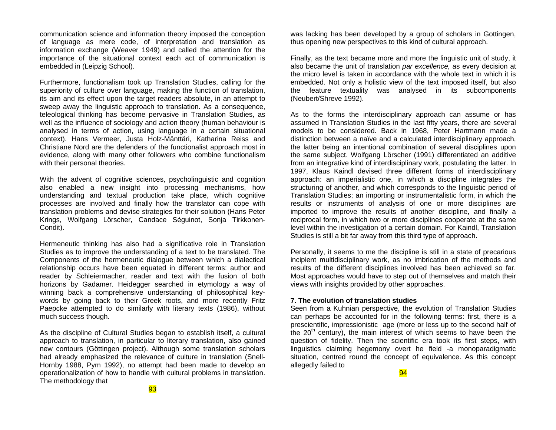communication science and information theory imposed the conception of language as mere code, of interpretation and translation as information exchange (Weaver 1949) and called the attention for the importance of the situational context each act of communication is embedded in (Leipzig School).

Furthermore, functionalism took up Translation Studies, calling for the superiority of culture over language, making the function of translation, its aim and its effect upon the target readers absolute, in an attempt to sweep away the linguistic approach to translation. As a consequence, teleological thinking has become pervasive in Translation Studies, as well as the influence of sociology and action theory (human behaviour is analysed in terms of action, using language in a certain situational context). Hans Vermeer, Justa Holz-Mänttäri, Katharina Reiss and Christiane Nord are the defenders of the functionalist approach most in evidence, along with many other followers who combine functionalism with their personal theories.

With the advent of cognitive sciences, psycholinguistic and cognition also enabled a new insight into processing mechanisms, how understanding and textual production take place, which cognitive processes are involved and finally how the translator can cope with translation problems and devise strategies for their solution (Hans Peter Krings, Wolfgang Lörscher, Candace Séguinot, Sonja Tirkkonen-Condit).

Hermeneutic thinking has also had a significative role in Translation Studies as to improve the understanding of a text to be translated. The Components of the hermeneutic dialogue between which a dialectical relationship occurs have been equated in different terms: author and reader by Schleiermacher, reader and text with the fusion of both horizons by Gadamer. Heidegger searched in etymology a way of winning back a comprehensive understanding of philosophical keywords by going back to their Greek roots, and more recently Fritz Paepcke attempted to do similarly with literary texts (1986), without much success though.

As the discipline of Cultural Studies began to establish itself, a cultural approach to translation, in particular to literary translation, also gained new contours (Göttingen project). Although some translation scholars had already emphasized the relevance of culture in translation (Snell-Hornby 1988, Pym 1992), no attempt had been made to develop an operationalization of how to handle with cultural problems in translation. The methodology that

was lacking has been developed by a group of scholars in Gottingen, thus opening new perspectives to this kind of cultural approach.

Finally, as the text became more and more the linguistic unit of study, it also became the unit of translation *par excellence,* as every decision at the micro level is taken in accordance with the whole text in which it is embedded. Not only a holistic view of the text imposed itself, but also the feature textuality was analysed in its subcomponents (Neubert/Shreve 1992).

As to the forms the interdisciplinary approach can assume or has assumed in Translation Studies in the last fifty years, there are several models to be considered. Back in 1968, Peter Hartmann made a distinction between a naïve and a calculated interdisciplinary approach, the latter being an intentional combination of several disciplines upon the same subject. Wolfgang Lörscher (1991) differentiated an additive from an integrative kind of interdisciplinary work, postulating the latter. In 1997, Klaus Kaindl devised three different forms of interdisciplinary approach: an imperialistic one, in which a discipline integrates the structuring of another, and which corresponds to the linguistic period of Translation Studies; an importing or instrumentalistic form, in which the results or instruments of analysis of one or more disciplines are imported to improve the results of another discipline, and finally a reciprocal form, in which two or more disciplines cooperate at the same level within the investigation of a certain domain. For Kaindl, Translation Studies is still a bit far away from this third type of approach.

Personally, it seems to me the discipline is still in a state of precarious incipient multidisciplinary work, as no imbrication of the methods and results of the different disciplines involved has been achieved so far. Most approaches would have to step out of themselves and match their views with insights provided by other approaches.

### **7. The evolution of translation studies**

Seen from a Kuhnian perspective, the evolution of Translation Studies can perhaps be accounted for in the following terms: first, there is a prescientific, impressionistic age (more or less up to the second half of the  $20<sup>th</sup>$  century), the main interest of which seems to have been the question of fidelity. Then the scientific era took its first steps, with linguistics claiming hegemony overt he field -a monoparadigmatic situation, centred round the concept of equivalence. As this concept allegedly failed to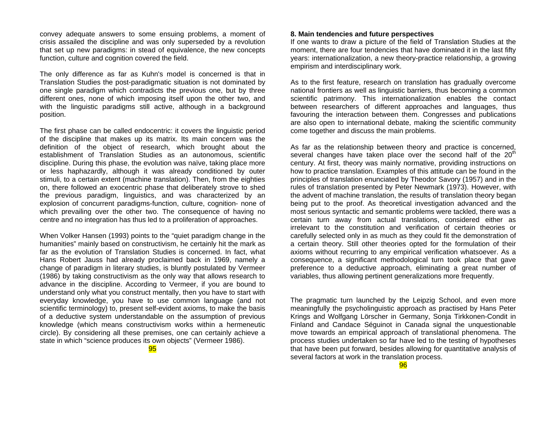convey adequate answers to some ensuing problems, a moment of crisis assailed the discipline and was only superseded by a revolution that set up new paradigms: in stead of equivalence, the new concepts function, culture and cognition covered the field.

The only difference as far as Kuhn's model is concerned is that in Translation Studies the post-paradigmatic situation is not dominated by one single paradigm which contradicts the previous one, but by three different ones, none of which imposing itself upon the other two, and with the linguistic paradigms still active, although in a background position.

The first phase can be called endocentric: it covers the linguistic period of the discipline that makes up its matrix. Its main concern was the definition of the object of research, which brought about the establishment of Translation Studies as an autonomous, scientific discipline. During this phase, the evolution was naïve, taking place more or less haphazardly, although it was already conditioned by outer stimuli, to a certain extent (machine translation). Then, from the eighties on, there followed an exocentric phase that deliberately strove to shed the previous paradigm, linguistics, and was characterized by an explosion of concurrent paradigms-function, culture, cognition- none of which prevailing over the other two. The consequence of having no centre and no integration has thus led to a proliferation of approaches.

When Volker Hansen (1993) points to the "quiet paradigm change in the humanities" mainly based on constructivism, he certainly hit the mark as far as the evolution of Translation Studies is concerned. In fact, what Hans Robert Jauss had already proclaimed back in 1969, namely a change of paradigm in literary studies, is bluntly postulated by Vermeer (1986) by taking constructivism as the only way that allows research to advance in the discipline. According to Vermeer, if you are bound to understand only what you construct mentally, then you have to start with everyday knowledge, you have to use common language (and not scientific terminology) to, present self-evident axioms, to make the basis of a deductive system understandable on the assumption of previous knowledge (which means constructivism works within a hermeneutic circle). By considering all these premises, one can certainly achieve a state in which "science produces its own objects" (Vermeer 1986).

95

### **8. Main tendencies and future perspectives**

If one wants to draw a picture of the field of Translation Studies at the moment, there are four tendencies that have dominated it in the last fifty years: internationalization, a new theory-practice relationship, a growing empirism and interdisciplinary work.

As to the first feature, research on translation has gradually overcome national frontiers as well as linguistic barriers, thus becoming a common scientific patrimony. This internationalization enables the contact between researchers of different approaches and languages, thus favouring the interaction between them. Congresses and publications are also open to international debate, making the scientific community come together and discuss the main problems.

As far as the relationship between theory and practice is concerned, several changes have taken place over the second half of the  $20<sup>th</sup>$ century. At first, theory was mainly normative, providing instructions on how to practice translation. Examples of this attitude can be found in the principles of translation enunciated by Theodor Savory (1957) and in the rules of translation presented by Peter Newmark (1973). However, with the advent of machine translation, the results of translation theory began being put to the proof. As theoretical investigation advanced and the most serious syntactic and semantic problems were tackled, there was a certain turn away from actual translations, considered either as irrelevant to the constitution and verification of certain theories or carefully selected only in as much as they could fit the demonstration of a certain theory. Still other theories opted for the formulation of their axioms without recurring to any empirical verification whatsoever. As a consequence, a significant methodological turn took place that gave preference to a deductive approach, eliminating a great number of variables, thus allowing pertinent generalizations more frequently.

The pragmatic turn launched by the Leipzig School, and even more meaningfully the psycholinguistic approach as practised by Hans Peter Krings and Wolfgang Lörscher in Germany, Sonja Tirkkonen-Condit in Finland and Candace Séguinot in Canada signal the unquestionable move towards an empirical approach of translational phenomena. The process studies undertaken so far have led to the testing of hypotheses that have been put forward, besides allowing for quantitative analysis of several factors at work in the translation process.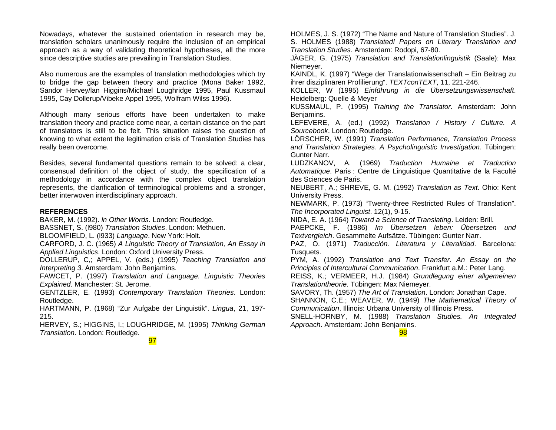Nowadays, whatever the sustained orientation in research may be, translation scholars unanimously require the inclusion of an empirical approach as a way of validating theoretical hypotheses, all the more since descriptive studies are prevailing in Translation Studies.

Also numerous are the examples of translation methodologies which try to bridge the gap between theory and practice (Mona Baker 1992, Sandor Hervey/lan Higgins/Michael Loughridge 1995, Paul Kussmaul 1995, Cay Dollerup/Vibeke Appel 1995, Wolfram Wilss 1996).

Although many serious efforts have been undertaken to make translation theory and practice come near, a certain distance on the part of translators is still to be felt. This situation raises the question of knowing to what extent the legitimation crisis of Translation Studies has really been overcome.

Besides, several fundamental questions remain to be solved: a clear, consensual definition of the object of study, the specification of a methodology in accordance with the complex object translation represents, the clarification of terminological problems and a stronger, better interwoven interdisciplinary approach.

## **REFERENCES**

BAKER, M. (1992). *ln Other Words*. London: Routledge. BASSNET, S. (l980) *Translation Studies*. London: Methuen. BLOOMFIELD, L. (l933) *Language*. New York: Holt.

CARFORD, J. C. (1965) *A Linguistic Theory of Translation, An Essay in Applied Linguistics*. London: Oxford University Press.

DOLLERUP, C,; APPEL, V. (eds.) (1995) *Teaching Translation and Interpreting 3*. Amsterdam: John Benjamins.

FAWCET, P. (1997) *Translation and Language. Linguistic Theories Explained*. Manchester: St. Jerome.

GENTZLER, E. (1993) *Contemporary Translation Theories*. London: Routledge.

HARTMANN, P. (1968) "Zur Aufgabe der Linguistik". *Lingua*, 21, 197- 215.

HERVEY, S.; HIGGINS, I.; LOUGHRIDGE, M. (1995) *Thinking German Translation*. London: Routledge.

HOLMES, J. S. (1972) "The Name and Nature of Translation Studies". J. S. HOLMES (1988) *Translated! Papers on Literary Translation and Translation Studies*. Amsterdam: Rodopi, 67-80.

JÄGER, G. (1975) *Translation and Translationlinguistik* (Saale): Max Niemeyer.

KAINDL, K. (1997) "Wege der Translationwissenschaft – Ein Beitrag zu ihrer disziplinären Profilierung". *TEXTconTEXT*, 11, 221-246.

KOLLER, W (1995) *Einführung in die Übersetzungswissenschaft*. Heidelberg: Quelle & Meyer

KUSSMAUL, P. (1995) *Training the Translator*. Amsterdam: John Benjamins.

LEFEVERE, A. (ed.) (1992) *Translation / History / Culture. A Sourcebook*. London: Routledge.

LÖRSCHER, W. (1991) *Translation Performance, Translation Process and Translation Strategies. A Psycholinguistic Investigation*. Tübingen: Gunter Narr.

LUDZKANOV, A. (1969) *Traduction Humaine et Traduction Automatique*. Paris : Centre de Linguistique Quantitative de la Faculté des Sciences de Paris.

NEUBERT, A.; SHREVE, G. M. (1992) *Translation as Text*. Ohio: Kent University Press.

NEWMARK, P. (1973) "Twenty-three Restricted Rules of Translation". *The Incorporated Linguist*. 12(1), 9-15.

NIDA, E. A. (1964) *Toward a Science of Translating*. Leiden: Brill.

PAEPCKE, F. (1986) *Im Übersetzen leben: Übersetzen und Textvergleich*. Gesammelte Aufsätze. Tübingen: Gunter Narr.

PAZ, O. (1971) *Traducción. Literatura y Literalidad*. Barcelona: Tusquets.

PYM, A. (1992) *Translation and Text Transfer. An Essay on the Principles of Intercultural Communication*. Frankfurt a.M.: Peter Lang.

REISS, K.; VERMEER, H.J. (1984) *Grundlegung einer allgemeinen Translationtheorie*. Tübingen: Max Niemeyer.

SAVORY, Th. (1957) *The Art of Translation*. London: Jonathan Cape.

SHANNON, C.E.; WEAVER, W. (1949) *The Mathematical Theory of Communication*. Illinois: Urbana University of Illinois Press.

SNELL-HORNBY, M. (1988) *Translation Studies. An Integrated Approach*. Amsterdam: John Benjamins.

98

97